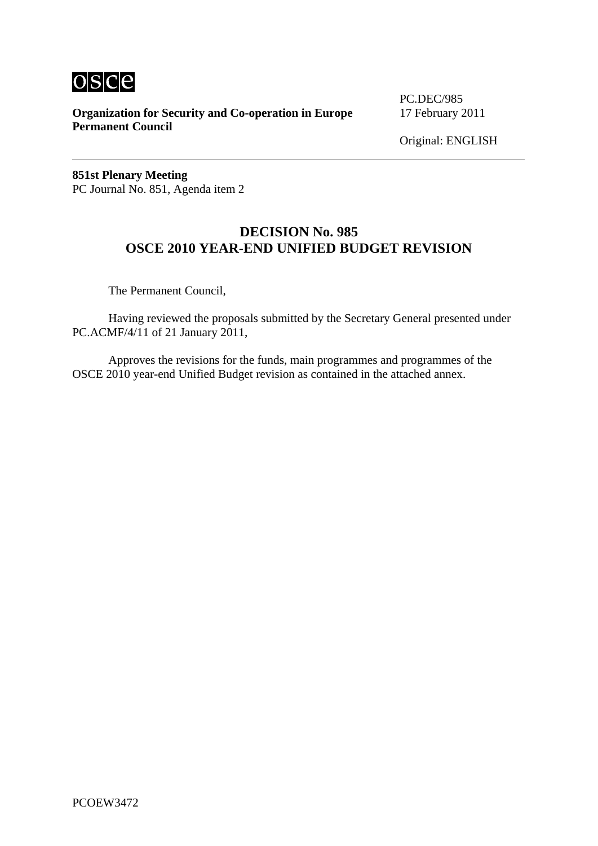

**Organization for Security and Co-operation in Europe** 17 February 2011 **Permanent Council** 

PC.DEC/985

Original: ENGLISH

**851st Plenary Meeting**  PC Journal No. 851, Agenda item 2

## **DECISION No. 985 OSCE 2010 YEAR-END UNIFIED BUDGET REVISION**

The Permanent Council,

 Having reviewed the proposals submitted by the Secretary General presented under PC.ACMF/4/11 of 21 January 2011,

 Approves the revisions for the funds, main programmes and programmes of the OSCE 2010 year-end Unified Budget revision as contained in the attached annex.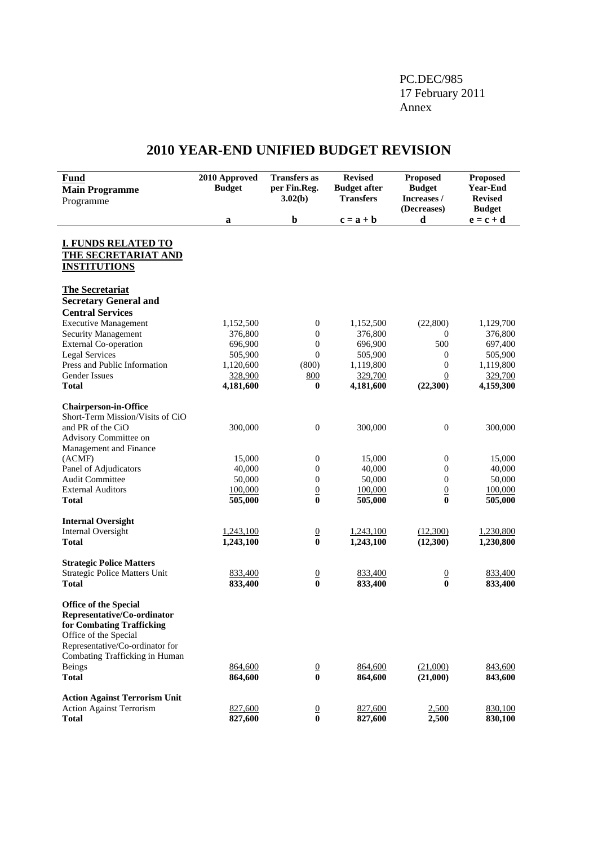### PC.DEC/985 17 February 2011 Annex

# **2010 YEAR-END UNIFIED BUDGET REVISION**

| <b>Fund</b><br><b>Main Programme</b><br>Programme                                                                                                                                      | 2010 Approved<br><b>Budget</b> | <b>Transfers</b> as<br>per Fin.Reg.<br>3.02(b) | <b>Revised</b><br><b>Budget after</b><br><b>Transfers</b> | <b>Proposed</b><br><b>Budget</b><br>Increases /<br>(Decreases) | <b>Proposed</b><br><b>Year-End</b><br><b>Revised</b><br><b>Budget</b> |
|----------------------------------------------------------------------------------------------------------------------------------------------------------------------------------------|--------------------------------|------------------------------------------------|-----------------------------------------------------------|----------------------------------------------------------------|-----------------------------------------------------------------------|
|                                                                                                                                                                                        | a                              | $\mathbf b$                                    | $c = a + b$                                               | d                                                              | $\mathbf{e} = \mathbf{c} + \mathbf{d}$                                |
| <b>I. FUNDS RELATED TO</b><br>THE SECRETARIAT AND<br><b>INSTITUTIONS</b>                                                                                                               |                                |                                                |                                                           |                                                                |                                                                       |
| <b>The Secretariat</b><br><b>Secretary General and</b>                                                                                                                                 |                                |                                                |                                                           |                                                                |                                                                       |
| <b>Central Services</b>                                                                                                                                                                |                                |                                                |                                                           |                                                                |                                                                       |
| <b>Executive Management</b>                                                                                                                                                            | 1,152,500                      | $\boldsymbol{0}$                               | 1,152,500                                                 | (22, 800)                                                      | 1,129,700                                                             |
| Security Management                                                                                                                                                                    | 376,800                        | $\boldsymbol{0}$                               | 376,800                                                   | 0                                                              | 376,800                                                               |
| <b>External Co-operation</b>                                                                                                                                                           | 696,900                        | $\boldsymbol{0}$                               | 696,900                                                   | 500                                                            | 697,400                                                               |
| <b>Legal Services</b>                                                                                                                                                                  | 505,900                        | $\boldsymbol{0}$                               | 505,900                                                   | $\mathbf{0}$                                                   | 505,900                                                               |
| Press and Public Information                                                                                                                                                           | 1,120,600                      | (800)                                          | 1,119,800                                                 | $\mathbf{0}$                                                   | 1,119,800                                                             |
| <b>Gender Issues</b>                                                                                                                                                                   | 328,900                        | 800                                            | 329,700                                                   | $\overline{0}$                                                 | 329,700                                                               |
| <b>Total</b>                                                                                                                                                                           | 4,181,600                      | $\bf{0}$                                       | 4,181,600                                                 | (22,300)                                                       | 4,159,300                                                             |
| <b>Chairperson-in-Office</b><br>Short-Term Mission/Visits of CiO                                                                                                                       |                                |                                                |                                                           |                                                                |                                                                       |
| and PR of the CiO<br>Advisory Committee on<br>Management and Finance                                                                                                                   | 300,000                        | $\boldsymbol{0}$                               | 300,000                                                   | $\boldsymbol{0}$                                               | 300,000                                                               |
| (ACMF)                                                                                                                                                                                 | 15,000                         | $\boldsymbol{0}$                               | 15,000                                                    | $\boldsymbol{0}$                                               | 15,000                                                                |
| Panel of Adjudicators                                                                                                                                                                  | 40,000                         | $\boldsymbol{0}$                               | 40,000                                                    | $\boldsymbol{0}$                                               | 40,000                                                                |
| <b>Audit Committee</b>                                                                                                                                                                 | 50,000                         | $\boldsymbol{0}$                               | 50,000                                                    | $\boldsymbol{0}$                                               | 50,000                                                                |
| <b>External Auditors</b>                                                                                                                                                               | 100,000                        | $\underline{0}$                                | 100,000                                                   | $\overline{0}$                                                 | 100,000                                                               |
| <b>Total</b>                                                                                                                                                                           | 505,000                        | $\bf{0}$                                       | 505,000                                                   | $\bf{0}$                                                       | 505,000                                                               |
| <b>Internal Oversight</b>                                                                                                                                                              |                                |                                                |                                                           |                                                                |                                                                       |
| <b>Internal Oversight</b>                                                                                                                                                              | 1,243,100                      | $\underline{0}$                                | 1,243,100                                                 | (12,300)                                                       | 1,230,800                                                             |
| <b>Total</b>                                                                                                                                                                           | 1,243,100                      | $\bf{0}$                                       | 1,243,100                                                 | (12,300)                                                       | 1,230,800                                                             |
| <b>Strategic Police Matters</b>                                                                                                                                                        |                                |                                                |                                                           |                                                                |                                                                       |
| Strategic Police Matters Unit                                                                                                                                                          | 833,400                        | $\frac{0}{0}$                                  | 833,400                                                   | $\frac{0}{0}$                                                  | 833,400                                                               |
| Total                                                                                                                                                                                  | 833,400                        |                                                | 833,400                                                   |                                                                | 833,400                                                               |
| <b>Office of the Special</b><br>Representative/Co-ordinator<br>for Combating Trafficking<br>Office of the Special<br>Representative/Co-ordinator for<br>Combating Trafficking in Human |                                |                                                |                                                           |                                                                |                                                                       |
| <b>Beings</b>                                                                                                                                                                          | 864,600                        | $\overline{0}$                                 | 864,600                                                   | (21,000)                                                       | 843,600                                                               |
| <b>Total</b>                                                                                                                                                                           | 864,600                        | $\bf{0}$                                       | 864,600                                                   | (21,000)                                                       | 843,600                                                               |
| <b>Action Against Terrorism Unit</b>                                                                                                                                                   |                                |                                                |                                                           |                                                                |                                                                       |
| <b>Action Against Terrorism</b>                                                                                                                                                        | 827,600                        | $\frac{0}{0}$                                  | 827,600                                                   | 2,500                                                          | 830,100                                                               |
| <b>Total</b>                                                                                                                                                                           | 827,600                        |                                                | 827,600                                                   | 2,500                                                          | 830,100                                                               |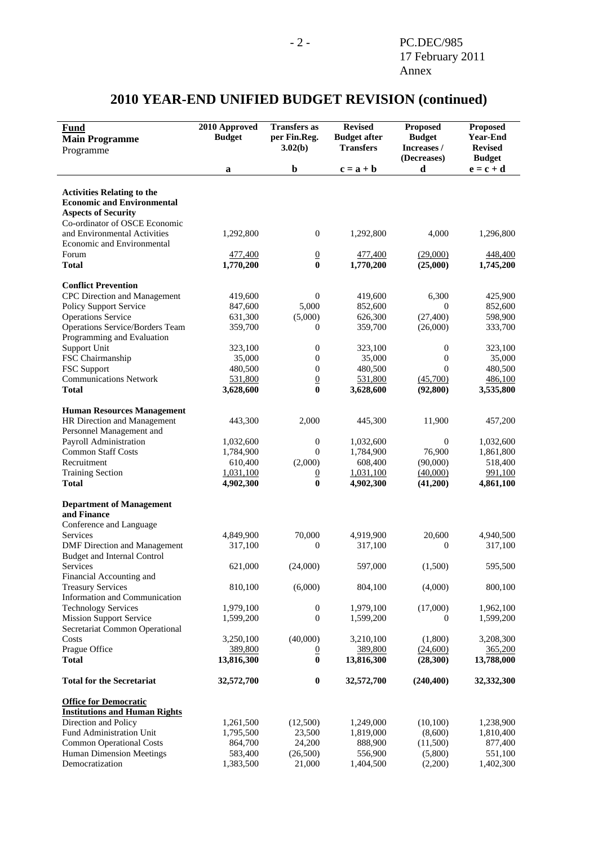#### **Fund Main Programme**  Programme **2010 Approved Budget Transfers as per Fin.Reg. 3.02(b) Revised Budget after Transfers Proposed Budget Increases / (Decreases) Proposed Year-End Revised Budget a b**  $c = a + b$  **d**  $e = c + d$ **Activities Relating to the Economic and Environmental Aspects of Security**  Co-ordinator of OSCE Economic and Environmental Activities 1,292,800 0 1,292,800 4,000 1,296,800 Economic and Environmental Forum 1990 1991 1991 1992 1994 177,400 1994 177,400 177,400 179,000 179,400 179,400 179,400 179,400 179,400 17 **Total 1,770,200 0 1,770,200 0 1,770,200 1,745,200 Conflict Prevention**  CPC Direction and Management  $419,600$   $0$   $419,600$   $6,300$   $425,900$ Policy Support Service 847,600 5,000 852,600 0 852,600<br>Operations Service 631,300 626,300 626,300 (27,400) 598,900 Operations Service 631,300 (5,000) 626,300 (27,400) 598,900 Operations Service/Borders Team 359,700 0 359,700 (26,000) 333,700 Programming and Evaluation Support Unit 223,100 0 323,100 0 323,100 0 323,100 FSC Chairmanship 35,000 0 35,000 0 35,000 0 35,000 FSC Support **480,500** 0 480,500 0 480,500 0 480,500 Communications Network  $\frac{531,800}{3.628,600}$   $\frac{0}{0}$   $\frac{531,800}{3.628,600}$   $\frac{(45,700)}{(92,800)}$   $\frac{486,100}{3.535,800}$ **Total 3,628,600 0 3,628,600 (92,800) 3,535,800 Human Resources Management**  HR Direction and Management 443,300 2,000 445,300 11,900 457,200 Personnel Management and Payroll Administration 1,032,600 0 1,032,600 0 1,032,600 0 1,032,600 Common Staff Costs 1,784,900 0 1,784,900 76,900 1,861,800 Recruitment 610,400 (2,000) 608,400 (90,000) 518,400 Training Section 1,031,100 0 1,031,100 (40,000) 991,100 **Total 4,902,300 0 4,902,300 (41,200) 4,861,100 Department of Management and Finance**  Conference and Language Services and the 4,849,900 70,000 4,919,900 20,600 4,940,500 DMF Direction and Management 317,100 0 317,100 0 317,100 0 317,100 Budget and Internal Control Services 621,000 (24,000) 597,000 (1,500) 595,500 Financial Accounting and Treasury Services 810,100 (6,000) 804,100 (4,000) 800,100 Information and Communication Technology Services 1,979,100 0 1,979,100 (17,000) 1,962,100 Mission Support Service 2,599,200 0 1,599,200 0 1,599,200 0 1,599,200 Secretariat Common Operational Costs 3,250,100 (40,000) 3,210,100 (1,800) 3,208,300 Prague Office 389,800 389,800 0 389,800 365,200 365,200 **Total 13,816,300 0 13,816,300 (28,300) 13,788,000 Total for the Secretariat 32,572,700 0 32,572,700 (240,400) 32,332,300 Office for Democratic Institutions and Human Rights** Direction and Policy 1,261,500 (12,500) 1,249,000 (10,100) 1,238,900 Fund Administration Unit 1,795,500 23,500 1,819,000 (8,600) 1,810,400<br>
Common Operational Costs 864.700 24.200 888.900 (11.500) 877.400 Common Operational Costs 864,700 24,200 888,900 (11,500) 877,400

Human Dimension Meetings 583,400 (26,500) 556,900 (5,800) 551,100 Democratization 1,383,500 21,000 1,404,500 (2,200) 1,402,300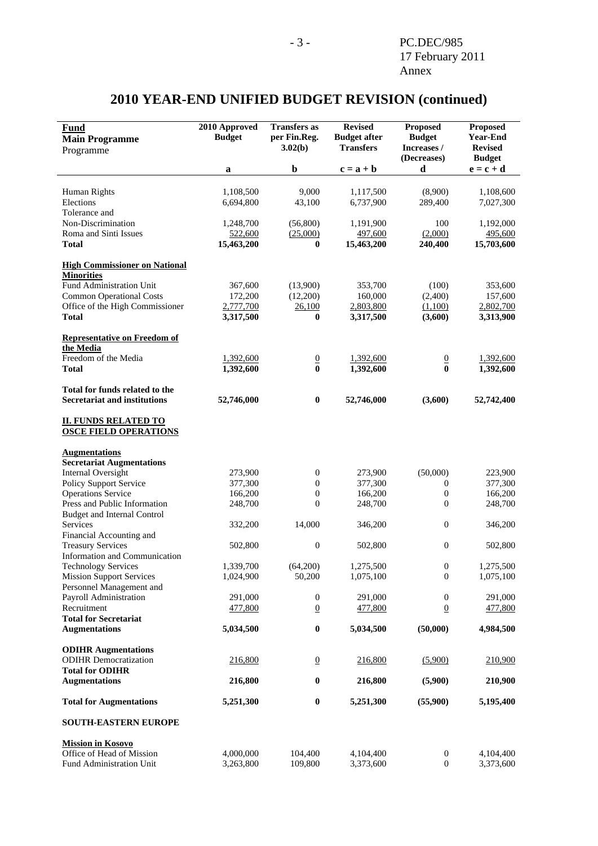#### **Fund Main Programme**  Programme **2010 Approved Budget Transfers as per Fin.Reg. 3.02(b) Revised Budget after Transfers Proposed Budget Increases / (Decreases) Proposed Year-End Revised Budget a b**  $c = a + b$  **d**  $e = c + d$ Human Rights 1,108,500 9,000 1,117,500 (8,900) 1,108,600 Elections 6,694,800 43,100 6,737,900 289,400 7,027,300 Tolerance and Non-Discrimination 1,248,700 (56,800) 1,191,900 100 1,192,000 Roma and Sinti Issues 522,600 (25,000) 497,600 (2,000) 495,600 **Total 15,463,200 0 15,463,200 240,400 15,703,600 High Commissioner on National Minorities** Fund Administration Unit 367,600 (13,900) 353,700 (100) 353,600 Common Operational Costs 172,200 (12,200) 160,000 (2,400) 157,600 Office of the High Commissioner 2,777,700 26,100 2,803,800 (1,100) 2,802,700 **Total** 3,317,500 0 3,317,500 (3,600) 3,313,900 **Representative on Freedom of the Media** Freedom of the Media 1,392,600 0 1,392,600 0 1,392,600 0 1,392,600 **Total 1,392,600 0 1,392,600 0 1,392,600 Total for funds related to the Secretariat and institutions** 52,746,000 **0** 52,746,000 **52,746,000 52,742,400 II. FUNDS RELATED TO OSCE FIELD OPERATIONS Augmentations Secretariat Augmentations**  111 Internal Oversight 273,900 0 273,900 (50,000) 223,900<br>
Policy Support Service 377.300 0 377.300 0 377.300 Policy Support Service 377,300 0 377,300 0 377,300 Operations Service 166,200 0 166,200 0 166,200 0 166,200 Press and Public Information 248,700 0 248,700 0 248,700 0 248,700 Budget and Internal Control Services 332,200 14,000 346,200 0 346,200 Financial Accounting and Treasury Services **1988** 502,800 0 502,800 0 502,800 0 502,800 Information and Communication Technology Services 1,339,700 (64,200) 1,275,500 0 1,275,500 Mission Support Services 1,024,900 50,200 1,075,100 0 1,075,100 Personnel Management and Payroll Administration 291,000 0 291,000 0 291,000 0 291,000 Recruitment 477,800 0 477,800 0 477,800 **Total for Secretariat Augmentations 5,034,500 0 5,034,500 (50,000) 4,984,500 ODIHR Augmentations**  ODIHR Democratization 216,800 0 216,800 (5,900) 210,900 **Total for ODIHR Augmentations 216,800 0 216,800 (5,900) 210,900 Total for Augmentations** 5,251,300 **0** 5,251,300 **5,251,300 5,195,400 SOUTH-EASTERN EUROPE Mission in Kosovo**<br> **Office of Head of Mission 4,000,000** Office of Head of Mission 4,000,000 104,400 4,104,400 0 4,104,400 Fund Administration Unit 3,263,800 109,800 3,373,600 0 3,373,600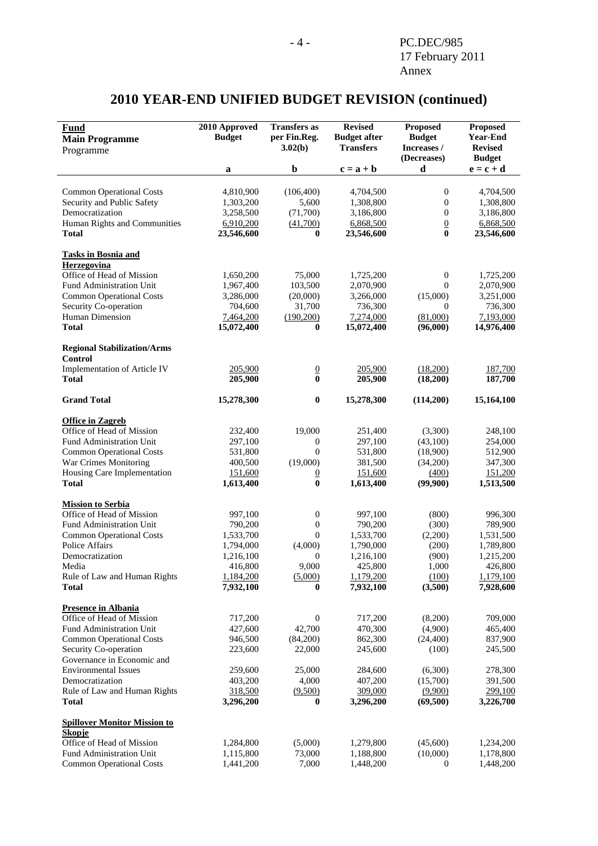#### **Fund Main Programme**  Programme **2010 Approved Budget Transfers as per Fin.Reg. 3.02(b) Revised Budget after Transfers Proposed Budget Increases / (Decreases) Proposed Year-End Revised Budget a b**  $c = a + b$  **d**  $e = c + d$ Common Operational Costs 4,810,900 (106,400) 4,704,500 0 4,704,500 Security and Public Safety 1,303,200 5,600 1,308,800 0 1,308,800 Democratization 3,258,500 (71,700) 3,186,800 0 3,186,800 Human Rights and Communities 6,910,200 (41,700) 6,868,500 0 6,868,500 **Total 23,546,600 0 23,546,600 0 23,546,600 Tasks in Bosnia and Herzegovina** Office of Head of Mission 1,650,200 75,000 1,725,200 0 1,725,200 Fund Administration Unit 1,967,400 103,500 2,070,900 0 2,070,900 Common Operational Costs 3,286,000 (20,000) 3,266,000 (15,000) 3,251,000 Security Co-operation 704,600 31,700 736,300 0 736,300<br>
Human Dimension 2.464,200 (190,200) 7.274,000 (81,000) 7.193,000 Human Dimension 2,464,200 (190,200) 7,274,000 (81,000) **Total 15,072,400 0 15,072,400 (96,000) 14,976,400 Regional Stabilization/Arms Control**  Implementation of Article IV 205,900 0 205,900 (18,200) 187,700 **Total 205,900 0 205,900 (18,200) 187,700 Grand Total 15,278,300 0 15,278,300 (114,200) 15,164,100 Office in Zagreb** Office of Head of Mission 232,400 19,000 251,400 (3,300) 248,100 Fund Administration Unit 297,100 0 297,100 (43,100) 254,000 Common Operational Costs 531,800 0 531,800 (18,900) 512,900 War Crimes Monitoring 400,500 (19,000) 381,500 (34,200) 347,300 Housing Care Implementation 151,600 0 151,600 (400) 151,200 **Total 1,613,400 0 1,613,400 (99,900) 1,513,500 Mission to Serbia** Office of Head of Mission 997,100 0 997,100 (800) 996,300 Fund Administration Unit 790,200 0 790,200 (300) 789,900 Common Operational Costs 1,533,700 0 1,533,700 (2,200) 1,531,500<br>
Police Affairs 1,794,000 (4,000) 1,790,000 (200) 1,789,800 Police Affairs **1,794,000** (4,000) 1,790,000 (200) 1,789,800 Democratization 1,216,100 0 1,216,100 (900) 1,215,200 Media 416,800 9,000 425,800 1,000 426,800 Rule of Law and Human Rights  $1,184,200$   $(5,000)$   $1,179,200$   $(100)$   $1,179,100$ **Total 7,932,100 0 7,932,100 (3,500) 7,928,600 Presence in Albania** Office of Head of Mission 717,200 0 717,200 (8,200) 709,000 Fund Administration Unit 427,600 42,700 470,300 (4,900) 465,400 Common Operational Costs 946,500 (84,200) 862,300 (24,400) 837,900 Security Co-operation 223,600 22,000 245,500 (100) 245,500 Governance in Economic and Environmental Issues 259,600 25,000 284,600 (6,300) 278,300<br>Democratization 403,200 4,000 407,200 (15,700) 391,500 Democratization 403,200 4,000 407,200 (15,700) 391,500 Rule of Law and Human Rights 318,500 (9,500) 309,000 (9,900) 299,100 **Total 3,296,200 0 3,296,200 (69,500) 3,226,700 Spillover Monitor Mission to Skopje**<br> **Office of Head of Mission**<br> **1.284.800** Office of Head of Mission 1,284,800 (5,000) 1,279,800 (45,600) 1,234,200<br>
Fund Administration Unit 1,115,800 73,000 1,188,800 (10,000) 1,178,800 Fund Administration Unit 1,115,800 73,000 1,188,800 (10,000) 1,178,800 Common Operational Costs 1,441,200 7,000 1,448,200 0 1,448,200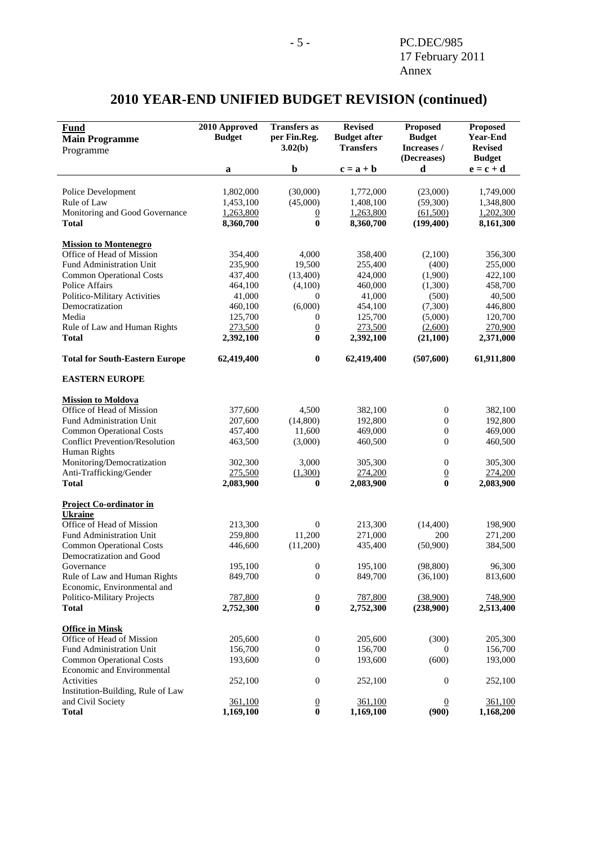#### **Fund Main Programme**  Programme **2010 Approved Budget Transfers as per Fin.Reg. 3.02(b) Revised Budget after Transfers Proposed Budget Increases / (Decreases) Proposed Year-End Revised Budget a b**  $c = a + b$  **d**  $e = c + d$ Police Development 1,802,000 (30,000) 1,772,000 (23,000) 1,749,000 Rule of Law  $1,453,100$   $(45,000)$   $1,408,100$   $(59,300)$   $1,348,800$ Monitoring and Good Governance  $\frac{1,263,800}{0}$   $\frac{0}{1,263,800}$   $\frac{(61,500)}{1,202,300}$   $\frac{1,202,300}{1,202,300}$ **Total 8,360,700 0 8,360,700 (199,400) 8,161,300 Mission to Montenegro** Office of Head of Mission 354,400 4,000 358,400 (2,100) 356,300 Fund Administration Unit 235,900 19,500 255,400 (400) 255,000 Common Operational Costs 437,400 (13,400) 424,000 (1,900) 422,100 Police Affairs **464,100** (4,100) 460,000 (1,300) 458,700 Politico-Military Activities 41,000 0 41,000 (500) 40,500 Democratization 160,100 (6,000) 454,100 (7,300) 446,800<br>Media 125.700 0 125.700 (5.000) 120.700 Media 125,700 0 125,700 (5,000) 120,700 Rule of Law and Human Rights 273,500 0 273,500 (2,600) 270,900 **Total 2,392,100 0 2,392,100 0 2,392,100 2,371,000 Total for South-Eastern Europe 62,419,400 0 62,419,400 (507,600) 61,911,800 EASTERN EUROPE Mission to Moldova** Office of Head of Mission 377,600 4,500 382,100 0 382,100<br>
Fund Administration Unit 207,600 (14,800) 192,800 0 192,800 Fund Administration Unit 207,600 (14,800) 192,800 0 192,800 Common Operational Costs 457,400 11,600 469,000 0 469,000 Conflict Prevention/Resolution 463,500 (3,000) 460,500 0 460,500 Human Rights Monitoring/Democratization 302,300 3,000 305,300 0 305,300 Anti-Trafficking/Gender 275,500 (1,300) 274,200 0 274,200 **Total 2,083,900 0 2,083,900 0 2,083,900 Project Co-ordinator in Ukraine** Office of Head of Mission 213,300 0 213,300 (14,400) 198,900<br>
Fund Administration Unit 259,800 11.200 271,000 200 271.200 Fund Administration Unit 259,800 11,200 271,000 200 271,200<br>
Common Operational Costs 446,600 (11,200) 435,400 (50,900) 384,500 Common Operational Costs 446,600 (11,200) 435,400 (50,900) Democratization and Good Governance 200 195,100 0 195,100 0 198,800 96,300 Rule of Law and Human Rights 849,700 0 849,700 (36,100) 813,600 Economic, Environmental and Politico-Military Projects 787,800 0 787,800 (38,900) 748,900 **Total 2,752,300 0 2,752,300 (238,900) 2,513,400 Office in Minsk** Office of Head of Mission 205,600 0 205,600 (300) 205,300 Fund Administration Unit 156,700 0 156,700 0 156,700 0 156,700 Common Operational Costs 193,600 0 193,600 (600) 193,000 Economic and Environmental Activities 252,100 0 252,100 0 252,100 Institution-Building, Rule of Law and Civil Society **361,100** 0 361,100 0 361,100 0 361,100<br> **Total** 1.169,100 0 1.169,100 0 1.168,200 **Total 1,169,100 0 1,169,100 (900) 1,168,200**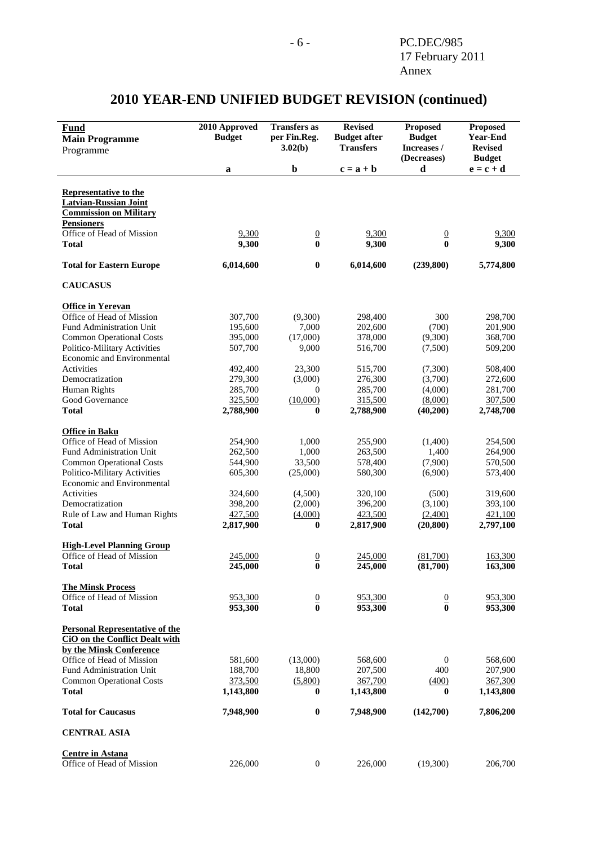### **Fund Main Programme**  Programme **2010 Approved Budget Transfers as per Fin.Reg. 3.02(b) Revised Budget after Transfers Proposed Budget Increases / (Decreases) Proposed Year-End Revised Budget a b**  $c = a + b$  **d**  $e = c + d$ **Representative to the Latvian-Russian Joint Commission on Military Pensioners** Office of Head of Mission  $\frac{9,300}{9,300}$   $\frac{0}{0}$   $\frac{9,300}{9,300}$   $\frac{0}{0}$   $\frac{9,300}{9,300}$ **Total 9,300 0 9,300 0 9,300 Total for Eastern Europe 6,014,600 0 6,014,600 6,014,600 6,014,600 6,014,600 5,774,800 CAUCASUS Office in Yerevan**<br>Office of Head of Mission 307,700 Office of Head of Mission 307,700 (9,300) 298,400 300 298,700 Fund Administration Unit 195,600 7,000 202,600 (700) 201,900 Common Operational Costs 395,000 (17,000) 378,000 (9,300) 368,700<br>
Politico-Military Activities 507,700 9,000 516,700 (7.500) 509,200 Politico-Military Activities 507,700 9,000 516,700 (7,500) 509,200 Economic and Environmental Activities **492,400** 23,300 515,700 (7,300) 508,400 Democratization 279,300 (3,000) 276,300 (3,700) 272,600 Human Rights 285,700 0 285,700 (4,000) 281,700 Good Governance  $\frac{325,500}{10,000}$   $\frac{315,500}{8,000}$   $\frac{8,000}{307,500}$ **Total 2,788,900 0 2,788,900 (40,200) 2,748,700 Office in Baku** Office of Head of Mission 254,900 1,000 255,900 (1,400) 254,500 Fund Administration Unit 262,500 1,000 263,500 1,400 264,900 Common Operational Costs 544,900 33,500 578,400 (7,900) 570,500 Politico-Military Activities 605,300 (25,000) 580,300 (6,900) 573,400 Economic and Environmental Activities 324,600 (4,500) 320,100 (500) 319,600 Democratization 398,200 (2,000) 396,200 (3,100) 393,100<br>
Rule of Law and Human Rights  $\frac{427,500}{427,500}$  (4,000)  $\frac{423,500}{423,500}$  (2,400) 421,100 Rule of Law and Human Rights  $427,500$   $(4,000)$   $423,500$   $(2,400)$   $421,100$ **Total 2,817,900 0 2,817,900 (20,800) 2,797,100 High-Level Planning Group** Office of Head of Mission 245,000 0 245,000 (81,700) 163,300 **Total 245,000 0 245,000 (81,700) 163,300 The Minsk Process** Office of Head of Mission  $\frac{953,300}{953,300}$   $\frac{0}{0}$   $\frac{953,300}{953,300}$   $\frac{0}{0}$   $\frac{953,300}{953,300}$ **Total 953,300 0 953,300 0 953,300 Personal Representative of the CiO on the Conflict Dealt with by the Minsk Conference** Office of Head of Mission 581,600 (13,000) 568,600 0 568,600 Fund Administration Unit 188,700 18,800 207,500 400 207,900 Common Operational Costs 373,500 (5,800) 367,700 (400) 367,300 Common Operational Costs 373,500 (5,800) 367,700 (400) **Total 1,143,800 0 1,143,800 0 1,143,800 Total for Caucasus 7,948,900 0 7,948,900 (142,700) 7,806,200 CENTRAL ASIA Centre in Astana** Office of Head of Mission 226,000 0 226,000 (19,300) 206,700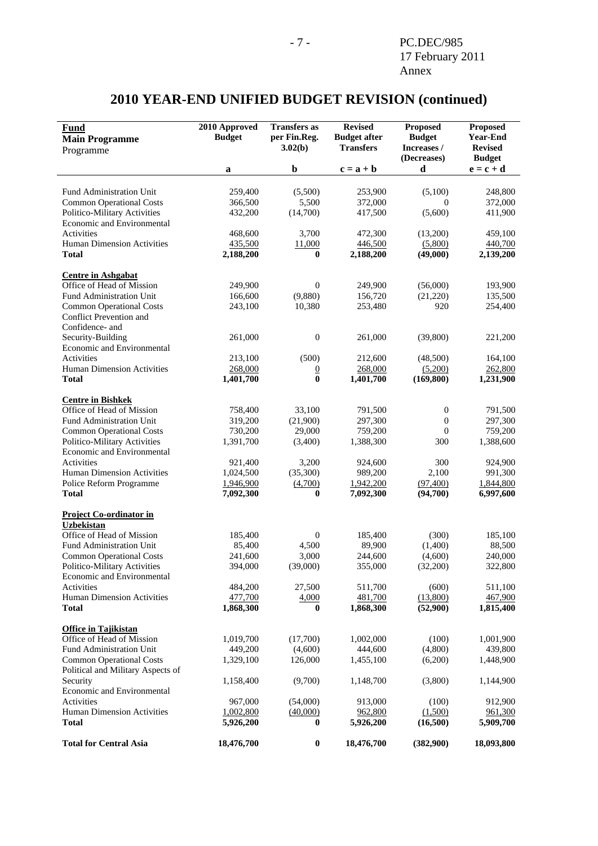| <b>Fund</b><br><b>Main Programme</b><br>Programme                    | 2010 Approved<br><b>Budget</b> | <b>Transfers</b> as<br>per Fin.Reg.<br>3.02(b) | <b>Revised</b><br><b>Budget after</b><br><b>Transfers</b> | <b>Proposed</b><br><b>Budget</b><br>Increases / | <b>Proposed</b><br><b>Year-End</b><br><b>Revised</b> |
|----------------------------------------------------------------------|--------------------------------|------------------------------------------------|-----------------------------------------------------------|-------------------------------------------------|------------------------------------------------------|
|                                                                      |                                | $\mathbf b$                                    |                                                           | (Decreases)                                     | <b>Budget</b>                                        |
|                                                                      | a                              |                                                | $c = a + b$                                               | d                                               | $\mathbf{e} = \mathbf{c} + \mathbf{d}$               |
| Fund Administration Unit                                             | 259,400                        | (5,500)                                        | 253,900                                                   | (5,100)                                         | 248,800                                              |
| <b>Common Operational Costs</b>                                      | 366,500                        | 5,500                                          | 372,000                                                   | $\mathbf{0}$                                    | 372,000                                              |
| Politico-Military Activities                                         | 432,200                        | (14,700)                                       | 417,500                                                   | (5,600)                                         | 411,900                                              |
| Economic and Environmental                                           |                                |                                                |                                                           |                                                 |                                                      |
| Activities                                                           | 468,600                        | 3,700                                          | 472,300                                                   | (13,200)                                        | 459,100                                              |
| <b>Human Dimension Activities</b>                                    | 435,500                        | 11,000                                         | 446,500                                                   | (5,800)                                         | 440,700                                              |
| <b>Total</b>                                                         | 2,188,200                      | $\bf{0}$                                       | 2,188,200                                                 | (49,000)                                        | 2,139,200                                            |
|                                                                      |                                |                                                |                                                           |                                                 |                                                      |
| <b>Centre in Ashgabat</b>                                            |                                |                                                |                                                           |                                                 |                                                      |
| Office of Head of Mission                                            | 249,900                        | $\boldsymbol{0}$                               | 249,900                                                   | (56,000)                                        | 193,900                                              |
| Fund Administration Unit                                             | 166,600                        | (9,880)                                        | 156,720                                                   | (21,220)                                        | 135,500                                              |
| <b>Common Operational Costs</b>                                      | 243,100                        | 10,380                                         | 253,480                                                   | 920                                             | 254,400                                              |
| Conflict Prevention and                                              |                                |                                                |                                                           |                                                 |                                                      |
| Confidence- and                                                      |                                |                                                |                                                           |                                                 |                                                      |
| Security-Building                                                    | 261,000                        | $\boldsymbol{0}$                               | 261,000                                                   | (39,800)                                        | 221,200                                              |
| Economic and Environmental                                           |                                |                                                |                                                           |                                                 |                                                      |
| Activities                                                           | 213,100                        | (500)                                          | 212,600                                                   | (48,500)                                        | 164,100                                              |
| <b>Human Dimension Activities</b>                                    | 268,000                        | $\overline{0}$                                 | 268,000                                                   | (5,200)                                         | 262,800                                              |
| <b>Total</b>                                                         | 1,401,700                      | $\bf{0}$                                       | 1,401,700                                                 | (169, 800)                                      | 1,231,900                                            |
| <b>Centre in Bishkek</b>                                             |                                |                                                |                                                           |                                                 |                                                      |
| Office of Head of Mission                                            | 758,400                        | 33,100                                         | 791,500                                                   | $\mathbf{0}$                                    | 791,500                                              |
| Fund Administration Unit                                             | 319,200                        | (21,900)                                       | 297,300                                                   | $\boldsymbol{0}$                                | 297,300                                              |
| <b>Common Operational Costs</b>                                      | 730,200                        | 29,000                                         | 759,200                                                   | $\mathbf{0}$                                    | 759,200                                              |
| Politico-Military Activities                                         | 1,391,700                      | (3,400)                                        | 1,388,300                                                 | 300                                             | 1,388,600                                            |
| Economic and Environmental                                           |                                |                                                |                                                           |                                                 |                                                      |
| Activities                                                           | 921,400                        | 3,200                                          | 924,600                                                   | 300                                             | 924,900                                              |
| Human Dimension Activities                                           | 1,024,500                      | (35,300)                                       | 989,200                                                   | 2,100                                           | 991,300                                              |
| Police Reform Programme                                              | 1,946,900                      | (4,700)                                        | 1,942,200                                                 | (97, 400)                                       | 1,844,800                                            |
| <b>Total</b>                                                         | 7,092,300                      | $\bf{0}$                                       | 7,092,300                                                 | (94,700)                                        | 6,997,600                                            |
| <b>Project Co-ordinator in</b>                                       |                                |                                                |                                                           |                                                 |                                                      |
| <b>Uzbekistan</b>                                                    |                                |                                                |                                                           |                                                 |                                                      |
| Office of Head of Mission                                            | 185,400                        | $\boldsymbol{0}$                               | 185,400                                                   | (300)                                           | 185,100                                              |
| Fund Administration Unit                                             | 85,400                         | 4,500                                          | 89,900                                                    | (1,400)                                         | 88,500                                               |
| <b>Common Operational Costs</b>                                      | 241,600                        | 3,000                                          | 244,600                                                   | (4,600)                                         | 240,000                                              |
| Politico-Military Activities                                         | 394,000                        | (39,000)                                       | 355,000                                                   | (32,200)                                        | 322,800                                              |
| Economic and Environmental                                           |                                |                                                |                                                           |                                                 |                                                      |
| Activities                                                           | 484,200                        | 27,500                                         | 511,700                                                   | (600)                                           | 511,100                                              |
| Human Dimension Activities                                           | 477,700                        | 4,000                                          | 481,700                                                   | (13,800)                                        | 467,900                                              |
| <b>Total</b>                                                         | 1,868,300                      | $\bf{0}$                                       | 1,868,300                                                 | (52,900)                                        | 1,815,400                                            |
|                                                                      |                                |                                                |                                                           |                                                 |                                                      |
| <b>Office in Tajikistan</b><br>Office of Head of Mission             |                                |                                                |                                                           |                                                 |                                                      |
| Fund Administration Unit                                             | 1,019,700<br>449,200           | (17,700)<br>(4,600)                            | 1,002,000<br>444,600                                      | (100)<br>(4,800)                                | 1,001,900<br>439,800                                 |
|                                                                      |                                |                                                | 1,455,100                                                 | (6,200)                                         | 1,448,900                                            |
| <b>Common Operational Costs</b><br>Political and Military Aspects of | 1,329,100                      | 126,000                                        |                                                           |                                                 |                                                      |
|                                                                      | 1,158,400                      | (9,700)                                        | 1,148,700                                                 | (3,800)                                         | 1,144,900                                            |
| Security<br>Economic and Environmental                               |                                |                                                |                                                           |                                                 |                                                      |
| Activities                                                           | 967,000                        | (54,000)                                       | 913,000                                                   | (100)                                           | 912,900                                              |
| Human Dimension Activities                                           | 1,002,800                      | (40,000)                                       | 962,800                                                   | (1,500)                                         |                                                      |
| <b>Total</b>                                                         | 5,926,200                      | 0                                              | 5,926,200                                                 | (16,500)                                        | 961,300<br>5,909,700                                 |
|                                                                      |                                |                                                |                                                           |                                                 |                                                      |
| <b>Total for Central Asia</b>                                        | 18,476,700                     | $\boldsymbol{0}$                               | 18,476,700                                                | (382,900)                                       | 18,093,800                                           |